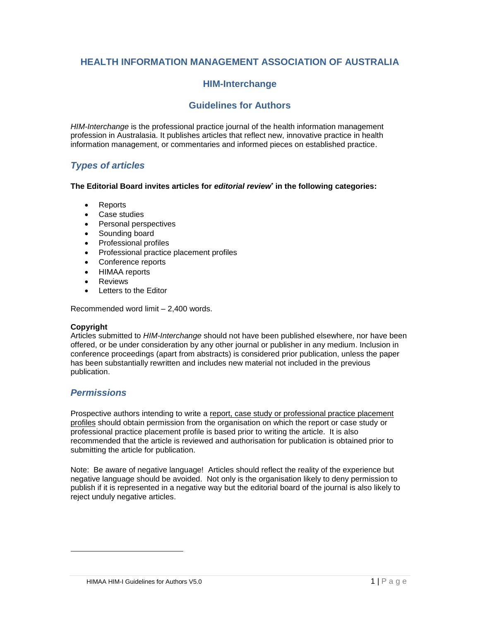# **HEALTH INFORMATION MANAGEMENT ASSOCIATION OF AUSTRALIA**

# **HIM-Interchange**

### **Guidelines for Authors**

*HIM-Interchange* is the professional practice journal of the health information management profession in Australasia. It publishes articles that reflect new, innovative practice in health information management, or commentaries and informed pieces on established practice.

### *Types of articles*

#### **The Editorial Board invites articles for** *editorial review***\* in the following categories:**

- Reports
- Case studies
- Personal perspectives
- Sounding board
- Professional profiles
- Professional practice placement profiles
- Conference reports
- HIMAA reports
- **Reviews**
- Letters to the Editor

Recommended word limit – 2,400 words.

#### **Copyright**

Articles submitted to *HIM-Interchange* should not have been published elsewhere, nor have been offered, or be under consideration by any other journal or publisher in any medium. Inclusion in conference proceedings (apart from abstracts) is considered prior publication, unless the paper has been substantially rewritten and includes new material not included in the previous publication.

### *Permissions*

 $\overline{a}$ 

Prospective authors intending to write a report, case study or professional practice placement profiles should obtain permission from the organisation on which the report or case study or professional practice placement profile is based prior to writing the article. It is also recommended that the article is reviewed and authorisation for publication is obtained prior to submitting the article for publication.

Note: Be aware of negative language! Articles should reflect the reality of the experience but negative language should be avoided. Not only is the organisation likely to deny permission to publish if it is represented in a negative way but the editorial board of the journal is also likely to reject unduly negative articles.